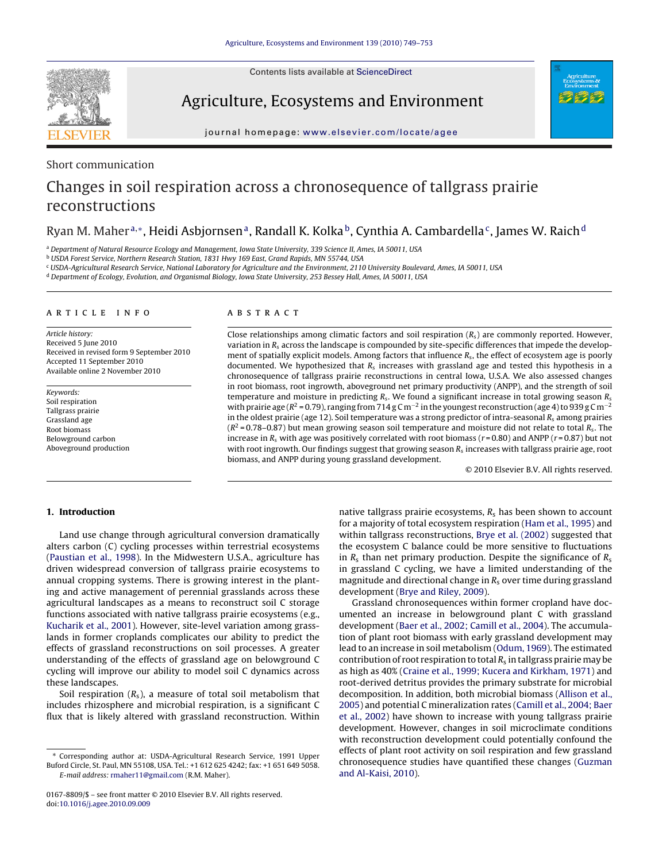Contents lists available at [ScienceDirect](http://www.sciencedirect.com/science/journal/01678809)



## Agriculture, Ecosystems and Environment



journal homepage: [www.elsevier.com/locate/agee](http://www.elsevier.com/locate/agee)

## Short communication

# Changes in soil respiration across a chronosequence of tallgrass prairie reconstructions

## Ryan M. Maher<sup>a,∗</sup>, Heidi Asbjornsen<sup>a</sup>, Randall K. Kolka<sup>b</sup>, Cynthia A. Cambardella<sup>c</sup>, James W. Raich<sup>d</sup>

<sup>a</sup> Department of Natural Resource Ecology and Management, Iowa State University, 339 Science II, Ames, IA 50011, USA

<sup>b</sup> USDA Forest Service, Northern Research Station, 1831 Hwy 169 East, Grand Rapids, MN 55744, USA

<sup>c</sup> USDA-Agricultural Research Service, National Laboratory for Agriculture and the Environment, 2110 University Boulevard, Ames, IA 50011, USA

<sup>d</sup> Department of Ecology, Evolution, and Organismal Biology, Iowa State University, 253 Bessey Hall, Ames, IA 50011, USA

#### article info

Article history: Received 5 June 2010 Received in revised form 9 September 2010 Accepted 11 September 2010 Available online 2 November 2010

Keywords: Soil respiration Tallgrass prairie Grassland age Root biomass Belowground carbon Aboveground production

## ABSTRACT

Close relationships among climatic factors and soil respiration  $(R_s)$  are commonly reported. However, variation in  $R_s$  across the landscape is compounded by site-specific differences that impede the development of spatially explicit models. Among factors that influence  $R_s$ , the effect of ecosystem age is poorly documented. We hypothesized that  $R_s$  increases with grassland age and tested this hypothesis in a chronosequence of tallgrass prairie reconstructions in central Iowa, U.S.A. We also assessed changes in root biomass, root ingrowth, aboveground net primary productivity (ANPP), and the strength of soil temperature and moisture in predicting  $R_s$ . We found a significant increase in total growing season  $R_s$ with prairie age ( $R^2$  = 0.79), ranging from 714 g Cm<sup>-2</sup> in the youngest reconstruction (age 4) to 939 g Cm<sup>-2</sup> in the oldest prairie (age 12). Soil temperature was a strong predictor of intra-seasonal  $R_s$  among prairies  $(R^2 = 0.78 - 0.87)$  but mean growing season soil temperature and moisture did not relate to total  $R_s$ . The increase in  $R_s$  with age was positively correlated with root biomass ( $r = 0.80$ ) and ANPP ( $r = 0.87$ ) but not with root ingrowth. Our findings suggest that growing season  $R_s$  increases with tallgrass prairie age, root biomass, and ANPP during young grassland development.

© 2010 Elsevier B.V. All rights reserved.

## **1. Introduction**

Land use change through agricultural conversion dramatically alters carbon (C) cycling processes within terrestrial ecosystems ([Paustian et al., 1998\).](#page-4-0) In the Midwestern U.S.A., agriculture has driven widespread conversion of tallgrass prairie ecosystems to annual cropping systems. There is growing interest in the planting and active management of perennial grasslands across these agricultural landscapes as a means to reconstruct soil C storage functions associated with native tallgrass prairie ecosystems (e.g., [Kucharik et al., 2001\).](#page-4-0) However, site-level variation among grasslands in former croplands complicates our ability to predict the effects of grassland reconstructions on soil processes. A greater understanding of the effects of grassland age on belowground C cycling will improve our ability to model soil C dynamics across these landscapes.

Soil respiration  $(R_s)$ , a measure of total soil metabolism that includes rhizosphere and microbial respiration, is a significant C flux that is likely altered with grassland reconstruction. Within

∗ Corresponding author at: USDA-Agricultural Research Service, 1991 Upper Buford Circle, St. Paul, MN 55108, USA. Tel.: +1 612 625 4242; fax: +1 651 649 5058. E-mail address: [rmaher11@gmail.com](mailto:rmaher11@gmail.com) (R.M. Maher).

native tallgrass prairie ecosystems,  $R_s$  has been shown to account for a majority of total ecosystem respiration [\(Ham et al., 1995\) a](#page-4-0)nd within tallgrass reconstructions, [Brye et al. \(2002\)](#page-4-0) suggested that the ecosystem C balance could be more sensitive to fluctuations in  $R_s$  than net primary production. Despite the significance of  $R_s$ in grassland C cycling, we have a limited understanding of the magnitude and directional change in  $R_s$  over time during grassland development ([Brye and Riley, 2009\).](#page-4-0)

Grassland chronosequences within former cropland have documented an increase in belowground plant C with grassland development ([Baer et al., 2002; Camill et al., 2004\).](#page-4-0) The accumulation of plant root biomass with early grassland development may lead to an increase in soil metabolism [\(Odum, 1969\).](#page-4-0) The estimated contribution of root respiration to total  $R_s$  in tallgrass prairie may be as high as 40% [\(Craine et al., 1999; Kucera and Kirkham, 1971\)](#page-4-0) and root-derived detritus provides the primary substrate for microbial decomposition. In addition, both microbial biomass ([Allison et al.,](#page-4-0) [2005\)](#page-4-0) and potential C mineralization rates ([Camill et al., 2004; Baer](#page-4-0) [et al., 2002\)](#page-4-0) have shown to increase with young tallgrass prairie development. However, changes in soil microclimate conditions with reconstruction development could potentially confound the effects of plant root activity on soil respiration and few grassland chronosequence studies have quantified these changes ([Guzman](#page-4-0) [and Al-Kaisi, 2010\).](#page-4-0)

<sup>0167-8809/\$ –</sup> see front matter © 2010 Elsevier B.V. All rights reserved. doi:[10.1016/j.agee.2010.09.009](dx.doi.org/10.1016/j.agee.2010.09.009)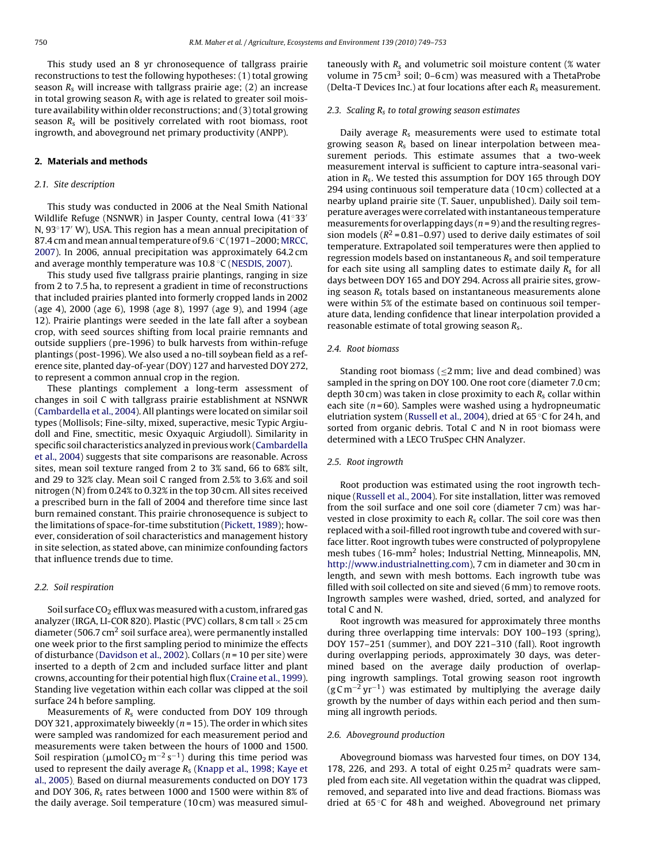This study used an 8 yr chronosequence of tallgrass prairie reconstructions to test the following hypotheses: (1) total growing season  $R_s$  will increase with tallgrass prairie age; (2) an increase in total growing season  $R_s$  with age is related to greater soil moisture availability within older reconstructions; and (3) total growing season  $R_s$  will be positively correlated with root biomass, root ingrowth, and aboveground net primary productivity (ANPP).

#### **2. Materials and methods**

## 2.1. Site description

This study was conducted in 2006 at the Neal Smith National Wildlife Refuge (NSNWR) in Jasper County, central Iowa (41◦33 N, 93◦17 W), USA. This region has a mean annual precipitation of 87.4 cm and mean annual temperature of  $9.6\degree$ C (1971–2000; [MRCC,](#page-4-0) [2007\).](#page-4-0) In 2006, annual precipitation was approximately 64.2 cm and average monthly temperature was 10.8 ◦C [\(NESDIS, 2007\).](#page-4-0)

This study used five tallgrass prairie plantings, ranging in size from 2 to 7.5 ha, to represent a gradient in time of reconstructions that included prairies planted into formerly cropped lands in 2002 (age 4), 2000 (age 6), 1998 (age 8), 1997 (age 9), and 1994 (age 12). Prairie plantings were seeded in the late fall after a soybean crop, with seed sources shifting from local prairie remnants and outside suppliers (pre-1996) to bulk harvests from within-refuge plantings (post-1996). We also used a no-till soybean field as a reference site, planted day-of-year (DOY) 127 and harvested DOY 272, to represent a common annual crop in the region.

These plantings complement a long-term assessment of changes in soil C with tallgrass prairie establishment at NSNWR ([Cambardella et al., 2004\).](#page-4-0) All plantings were located on similar soil types (Mollisols; Fine-silty, mixed, superactive, mesic Typic Argiudoll and Fine, smectitic, mesic Oxyaquic Argiudoll). Similarity in specific soil characteristics analyzed in previous work [\(Cambardella](#page-4-0) [et al., 2004\)](#page-4-0) suggests that site comparisons are reasonable. Across sites, mean soil texture ranged from 2 to 3% sand, 66 to 68% silt, and 29 to 32% clay. Mean soil C ranged from 2.5% to 3.6% and soil nitrogen (N) from 0.24% to 0.32% in the top 30 cm. All sites received a prescribed burn in the fall of 2004 and therefore time since last burn remained constant. This prairie chronosequence is subject to the limitations of space-for-time substitution ([Pickett, 1989\);](#page-4-0) however, consideration of soil characteristics and management history in site selection, as stated above, can minimize confounding factors that influence trends due to time.

## 2.2. Soil respiration

Soil surface  $CO<sub>2</sub>$  efflux was measured with a custom, infrared gas analyzer (IRGA, LI-COR 820). Plastic (PVC) collars, 8 cm tall  $\times$  25 cm diameter (506.7  $\text{cm}^2$  soil surface area), were permanently installed one week prior to the first sampling period to minimize the effects of disturbance [\(Davidson et al., 2002\).](#page-4-0) Collars ( $n = 10$  per site) were inserted to a depth of 2 cm and included surface litter and plant crowns, accounting for their potential high flux [\(Craine et al., 1999\).](#page-4-0) Standing live vegetation within each collar was clipped at the soil surface 24 h before sampling.

Measurements of  $R_s$  were conducted from DOY 109 through DOY 321, approximately biweekly ( $n = 15$ ). The order in which sites were sampled was randomized for each measurement period and measurements were taken between the hours of 1000 and 1500. Soil respiration (µmol CO<sub>2</sub> m<sup>−2</sup> s<sup>−1</sup>) during this time period was used to represent the daily average  $R_s$  ([Knapp et al., 1998; Kaye et](#page-4-0) [al., 2005\).](#page-4-0) Based on diurnal measurements conducted on DOY 173 and DOY 306,  $R_s$  rates between 1000 and 1500 were within 8% of the daily average. Soil temperature (10 cm) was measured simultaneously with  $R_s$  and volumetric soil moisture content (% water volume in 75 cm<sup>3</sup> soil; 0–6 cm) was measured with a ThetaProbe (Delta-T Devices Inc.) at four locations after each  $R_s$  measurement.

#### 2.3. Scaling  $R_s$  to total growing season estimates

Daily average  $R_s$  measurements were used to estimate total growing season  $R_s$  based on linear interpolation between measurement periods. This estimate assumes that a two-week measurement interval is sufficient to capture intra-seasonal variation in  $R_s$ . We tested this assumption for DOY 165 through DOY 294 using continuous soil temperature data (10 cm) collected at a nearby upland prairie site (T. Sauer, unpublished). Daily soil temperature averages were correlated with instantaneous temperature measurements for overlapping days  $(n=9)$  and the resulting regression models ( $R^2$  = 0.81–0.97) used to derive daily estimates of soil temperature. Extrapolated soil temperatures were then applied to regression models based on instantaneous  $R_s$  and soil temperature for each site using all sampling dates to estimate daily  $R_s$  for all days between DOY 165 and DOY 294. Across all prairie sites, growing season  $R<sub>s</sub>$  totals based on instantaneous measurements alone were within 5% of the estimate based on continuous soil temperature data, lending confidence that linear interpolation provided a reasonable estimate of total growing season  $R_s$ .

#### 2.4. Root biomass

Standing root biomass ( $\leq$ 2 mm; live and dead combined) was sampled in the spring on DOY 100. One root core (diameter 7.0 cm; depth 30 cm) was taken in close proximity to each  $R_s$  collar within each site ( $n = 60$ ). Samples were washed using a hydropneumatic elutriation system ([Russell et al., 2004\),](#page-4-0) dried at 65 ◦C for 24 h, and sorted from organic debris. Total C and N in root biomass were determined with a LECO TruSpec CHN Analyzer.

#### 2.5. Root ingrowth

Root production was estimated using the root ingrowth technique [\(Russell et al., 2004\).](#page-4-0) For site installation, litter was removed from the soil surface and one soil core (diameter 7 cm) was harvested in close proximity to each  $R_s$  collar. The soil core was then replaced with a soil-filled root ingrowth tube and covered with surface litter. Root ingrowth tubes were constructed of polypropylene mesh tubes (16-mm2 holes; Industrial Netting, Minneapolis, MN, [http://www.industrialnetting.com](http://www.industrialnetting.com/)), 7 cm in diameter and 30 cm in length, and sewn with mesh bottoms. Each ingrowth tube was filled with soil collected on site and sieved (6 mm) to remove roots. Ingrowth samples were washed, dried, sorted, and analyzed for total C and N.

Root ingrowth was measured for approximately three months during three overlapping time intervals: DOY 100–193 (spring), DOY 157–251 (summer), and DOY 221–310 (fall). Root ingrowth during overlapping periods, approximately 30 days, was determined based on the average daily production of overlapping ingrowth samplings. Total growing season root ingrowth  $(g \text{C m}^{-2} \text{ yr}^{-1})$  was estimated by multiplying the average daily growth by the number of days within each period and then summing all ingrowth periods.

## 2.6. Aboveground production

Aboveground biomass was harvested four times, on DOY 134, 178, 226, and 293. A total of eight  $0.25 \,\mathrm{m}^2$  quadrats were sampled from each site. All vegetation within the quadrat was clipped, removed, and separated into live and dead fractions. Biomass was dried at 65 ◦C for 48 h and weighed. Aboveground net primary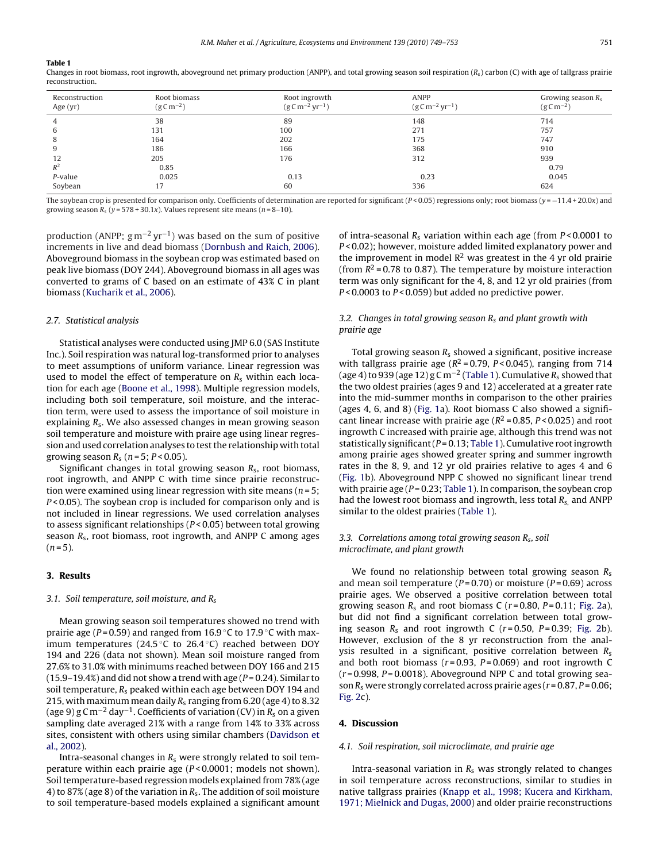#### **Table 1**

Changes in root biomass, root ingrowth, aboveground net primary production (ANPP), and total growing season soil respiration  $(R_s)$  carbon (C) with age of tallgrass prairie reconstruction.

| Reconstruction<br>Age (yr) | Root biomass<br>$(g \, \text{C} \, \text{m}^{-2})$ | Root ingrowth<br>$(g \text{C m}^{-2} \text{ yr}^{-1})$ | <b>ANPP</b><br>$(g C m^{-2} yr^{-1})$ | Growing season $R_s$<br>$(g \text{C m}^{-2})$ |
|----------------------------|----------------------------------------------------|--------------------------------------------------------|---------------------------------------|-----------------------------------------------|
|                            | 38                                                 | 89                                                     | 148                                   | 714                                           |
| b                          | 131                                                | 100                                                    | 271                                   | 757                                           |
| 8                          | 164                                                | 202                                                    | 175                                   | 747                                           |
| 9                          | 186                                                | 166                                                    | 368                                   | 910                                           |
| 12                         | 205                                                | 176                                                    | 312                                   | 939                                           |
| $R^2$                      | 0.85                                               |                                                        |                                       | 0.79                                          |
| P-value                    | 0.025                                              | 0.13                                                   | 0.23                                  | 0.045                                         |
| Soybean                    | 17                                                 | 60                                                     | 336                                   | 624                                           |

The soybean crop is presented for comparison only. Coefficients of determination are reported for significant  $(P < 0.05)$  regressions only; root biomass  $(y = -11.4 + 20.0x)$  and growing season  $R_s$  ( $y = 578 + 30.1x$ ). Values represent site means ( $n = 8-10$ ).

production (ANPP;  $gm^{-2}yr^{-1}$ ) was based on the sum of positive increments in live and dead biomass [\(Dornbush and Raich, 2006\).](#page-4-0) Aboveground biomass in the soybean crop was estimated based on peak live biomass (DOY 244). Aboveground biomass in all ages was converted to grams of C based on an estimate of 43% C in plant biomass [\(Kucharik et al., 2006\).](#page-4-0)

#### 2.7. Statistical analysis

Statistical analyses were conducted using JMP 6.0 (SAS Institute Inc.). Soil respiration was natural log-transformed prior to analyses to meet assumptions of uniform variance. Linear regression was used to model the effect of temperature on  $R_s$  within each location for each age [\(Boone et al., 1998\).](#page-4-0) Multiple regression models, including both soil temperature, soil moisture, and the interaction term, were used to assess the importance of soil moisture in explaining  $R_s$ . We also assessed changes in mean growing season soil temperature and moisture with praire age using linear regression and used correlation analyses to test the relationship with total growing season  $R_s$  ( $n = 5$ ;  $P < 0.05$ ).

Significant changes in total growing season  $R_s$ , root biomass, root ingrowth, and ANPP C with time since prairie reconstruction were examined using linear regression with site means ( $n = 5$ ;  $P < 0.05$ ). The soybean crop is included for comparison only and is not included in linear regressions. We used correlation analyses to assess significant relationships ( $P < 0.05$ ) between total growing season  $R_s$ , root biomass, root ingrowth, and ANPP C among ages  $(n=5)$ .

#### **3. Results**

## 3.1. Soil temperature, soil moisture, and  $R_s$

Mean growing season soil temperatures showed no trend with prairie age ( $P = 0.59$ ) and ranged from 16.9 °C to 17.9 °C with maximum temperatures (24.5 $\degree$ C to 26.4 $\degree$ C) reached between DOY 194 and 226 (data not shown). Mean soil moisture ranged from 27.6% to 31.0% with minimums reached between DOY 166 and 215  $(15.9-19.4%)$  and did not show a trend with age  $(P = 0.24)$ . Similar to soil temperature,  $R_s$  peaked within each age between DOY 194 and 215, with maximum mean daily  $R_s$  ranging from 6.20 (age 4) to 8.32 (age 9) g C m<sup>-2</sup> day<sup>-1</sup>. Coefficients of variation (CV) in  $R_s$  on a given sampling date averaged 21% with a range from 14% to 33% across sites, consistent with others using similar chambers ([Davidson et](#page-4-0) [al., 2002\).](#page-4-0)

Intra-seasonal changes in  $R_s$  were strongly related to soil temperature within each prairie age (P < 0.0001; models not shown). Soil temperature-based regression models explained from 78% (age 4) to 87% (age 8) of the variation in  $R_s$ . The addition of soil moisture to soil temperature-based models explained a significant amount

of intra-seasonal  $R_s$  variation within each age (from  $P < 0.0001$  to P < 0.02); however, moisture added limited explanatory power and the improvement in model  $\mathbb{R}^2$  was greatest in the 4 yr old prairie (from  $R^2$  = 0.78 to 0.87). The temperature by moisture interaction term was only significant for the 4, 8, and 12 yr old prairies (from  $P < 0.0003$  to  $P < 0.059$ ) but added no predictive power.

## 3.2. Changes in total growing season  $R_s$  and plant growth with prairie age

Total growing season  $R_s$  showed a significant, positive increase with tallgrass prairie age ( $R^2$  = 0.79,  $P$  < 0.045), ranging from 714 (age 4) to 939 (age 12)  $gCm^{-2}$  (Table 1). Cumulative  $R_s$  showed that the two oldest prairies (ages 9 and 12) accelerated at a greater rate into the mid-summer months in comparison to the other prairies (ages 4, 6, and 8) ([Fig. 1a\)](#page-3-0). Root biomass C also showed a significant linear increase with prairie age ( $R^2$  = 0.85, P < 0.025) and root ingrowth C increased with prairie age, although this trend was not statistically significant ( $P = 0.13$ ; Table 1). Cumulative root ingrowth among prairie ages showed greater spring and summer ingrowth rates in the 8, 9, and 12 yr old prairies relative to ages 4 and 6 [\(Fig. 1b](#page-3-0)). Aboveground NPP C showed no significant linear trend with prairie age ( $P = 0.23$ ; Table 1). In comparison, the soybean crop had the lowest root biomass and ingrowth, less total  $R_s$ , and ANPP similar to the oldest prairies (Table 1).

## 3.3. Correlations among total growing season  $R_s$ , soil microclimate, and plant growth

We found no relationship between total growing season  $R_s$ and mean soil temperature ( $P = 0.70$ ) or moisture ( $P = 0.69$ ) across prairie ages. We observed a positive correlation between total growing season  $R_s$  and root biomass C ( $r = 0.80$ ,  $P = 0.11$ ; [Fig. 2a\)](#page-3-0), but did not find a significant correlation between total growing season  $R_s$  and root ingrowth C ( $r = 0.50$ ,  $P = 0.39$ ; [Fig. 2b](#page-3-0)). However, exclusion of the 8 yr reconstruction from the analysis resulted in a significant, positive correlation between  $R_s$ and both root biomass ( $r = 0.93$ ,  $P = 0.069$ ) and root ingrowth C  $(r = 0.998, P = 0.0018)$ . Aboveground NPP C and total growing season  $R_s$  were strongly correlated across prairie ages ( $r = 0.87$ ,  $P = 0.06$ ; [Fig. 2c\)](#page-3-0).

## **4. Discussion**

#### 4.1. Soil respiration, soil microclimate, and prairie age

Intra-seasonal variation in  $R_s$  was strongly related to changes in soil temperature across reconstructions, similar to studies in native tallgrass prairies ([Knapp et al., 1998; Kucera and Kirkham,](#page-4-0) [1971; Mielnick and Dugas, 2000\) a](#page-4-0)nd older prairie reconstructions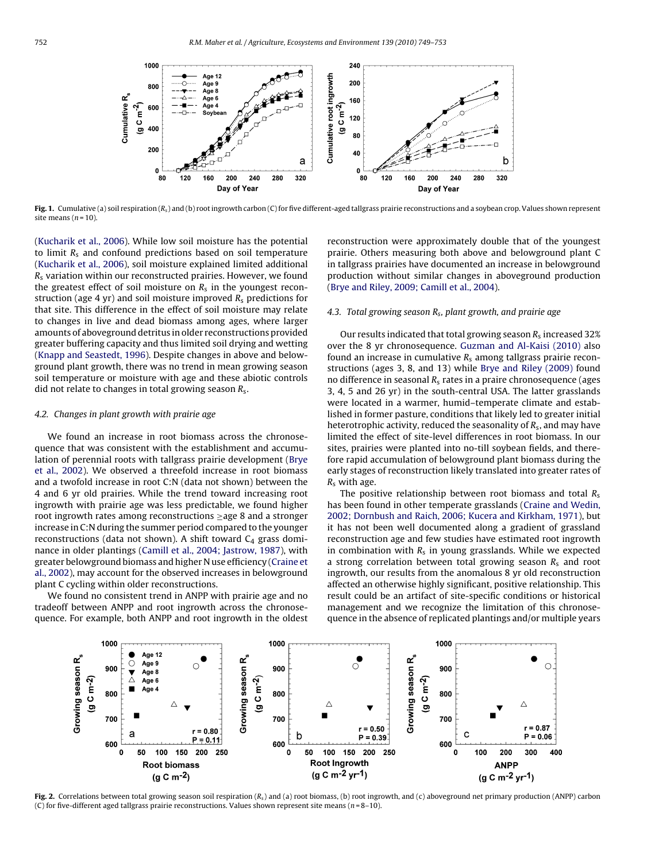<span id="page-3-0"></span>

Fig. 1. Cumulative (a) soil respiration  $(R_s)$  and (b) root ingrowth carbon (C) for five different-aged tallgrass prairie reconstructions and a soybean crop. Values shown represent site means  $(n = 10)$ .

([Kucharik et al., 2006\).](#page-4-0) While low soil moisture has the potential to limit  $R_s$  and confound predictions based on soil temperature ([Kucharik et al., 2006\),](#page-4-0) soil moisture explained limited additional  $R<sub>s</sub>$  variation within our reconstructed prairies. However, we found the greatest effect of soil moisture on  $R_s$  in the youngest reconstruction (age 4 yr) and soil moisture improved  $R_s$  predictions for that site. This difference in the effect of soil moisture may relate to changes in live and dead biomass among ages, where larger amounts of aboveground detritus in older reconstructions provided greater buffering capacity and thus limited soil drying and wetting ([Knapp and Seastedt, 1996\).](#page-4-0) Despite changes in above and belowground plant growth, there was no trend in mean growing season soil temperature or moisture with age and these abiotic controls did not relate to changes in total growing season  $R_s$ .

## 4.2. Changes in plant growth with prairie age

We found an increase in root biomass across the chronosequence that was consistent with the establishment and accumulation of perennial roots with tallgrass prairie development [\(Brye](#page-4-0) [et al., 2002\).](#page-4-0) We observed a threefold increase in root biomass and a twofold increase in root C:N (data not shown) between the 4 and 6 yr old prairies. While the trend toward increasing root ingrowth with prairie age was less predictable, we found higher root ingrowth rates among reconstructions ≥age 8 and a stronger increase in C:N during the summer period compared to the younger reconstructions (data not shown). A shift toward  $C_4$  grass dominance in older plantings ([Camill et al., 2004; Jastrow, 1987\),](#page-4-0) with greater belowground biomass and higher N use efficiency [\(Craine et](#page-4-0) [al., 2002\),](#page-4-0) may account for the observed increases in belowground plant C cycling within older reconstructions.

We found no consistent trend in ANPP with prairie age and no tradeoff between ANPP and root ingrowth across the chronosequence. For example, both ANPP and root ingrowth in the oldest reconstruction were approximately double that of the youngest prairie. Others measuring both above and belowground plant C in tallgrass prairies have documented an increase in belowground production without similar changes in aboveground production [\(Brye and Riley, 2009; Camill et al., 2004\).](#page-4-0)

## 4.3. Total growing season  $R_s$ , plant growth, and prairie age

Our results indicated that total growing season  $R_s$  increased 32% over the 8 yr chronosequence. [Guzman and Al-Kaisi \(2010\)](#page-4-0) also found an increase in cumulative  $R_s$  among tallgrass prairie reconstructions (ages 3, 8, and 13) while [Brye and Riley \(2009\)](#page-4-0) found no difference in seasonal  $R_s$  rates in a praire chronosequence (ages 3, 4, 5 and 26 yr) in the south-central USA. The latter grasslands were located in a warmer, humid–temperate climate and established in former pasture, conditions that likely led to greater initial heterotrophic activity, reduced the seasonality of  $R_s$ , and may have limited the effect of site-level differences in root biomass. In our sites, prairies were planted into no-till soybean fields, and therefore rapid accumulation of belowground plant biomass during the early stages of reconstruction likely translated into greater rates of  $R_s$  with age.

The positive relationship between root biomass and total  $R_s$ has been found in other temperate grasslands [\(Craine and Wedin,](#page-4-0) [2002; Dornbush and Raich, 2006; Kucera and Kirkham, 1971\),](#page-4-0) but it has not been well documented along a gradient of grassland reconstruction age and few studies have estimated root ingrowth in combination with  $R_s$  in young grasslands. While we expected a strong correlation between total growing season  $R_s$  and root ingrowth, our results from the anomalous 8 yr old reconstruction affected an otherwise highly significant, positive relationship. This result could be an artifact of site-specific conditions or historical management and we recognize the limitation of this chronosequence in the absence of replicated plantings and/or multiple years



**Fig. 2.** Correlations between total growing season soil respiration (Rs) and (a) root biomass, (b) root ingrowth, and (c) aboveground net primary production (ANPP) carbon (C) for five-different aged tallgrass prairie reconstructions. Values shown represent site means ( $n = 8-10$ ).